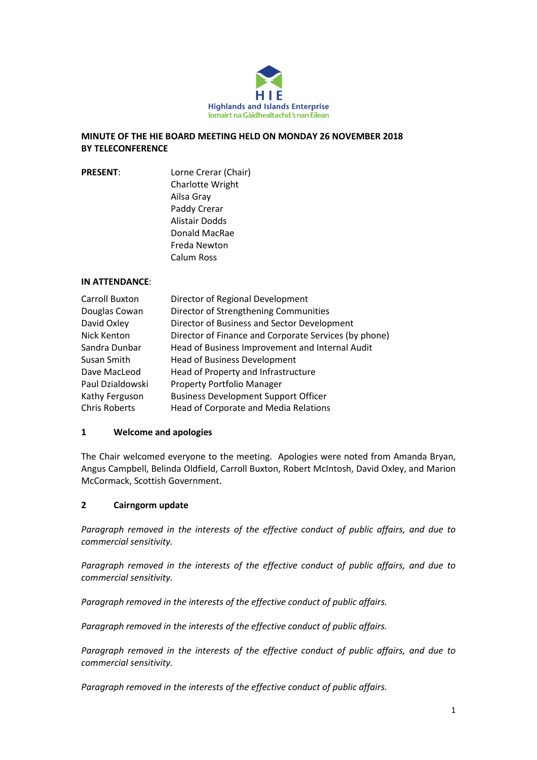

## MINUTE OF THE HIE BOARD MEETING HELD ON MONDAY 26 NOVEMBER 2018 BY TELECONFERENCE

PRESENT: Lorne Crerar (Chair) Charlotte Wright Ailsa Gray Paddy Crerar Alistair Dodds Donald MacRae Freda Newton Calum Ross

## IN ATTENDANCE:

| Carroll Buxton       | Director of Regional Development                      |
|----------------------|-------------------------------------------------------|
| Douglas Cowan        | Director of Strengthening Communities                 |
| David Oxley          | Director of Business and Sector Development           |
| Nick Kenton          | Director of Finance and Corporate Services (by phone) |
| Sandra Dunbar        | Head of Business Improvement and Internal Audit       |
| Susan Smith          | <b>Head of Business Development</b>                   |
| Dave MacLeod         | Head of Property and Infrastructure                   |
| Paul Dzialdowski     | <b>Property Portfolio Manager</b>                     |
| Kathy Ferguson       | <b>Business Development Support Officer</b>           |
| <b>Chris Roberts</b> | Head of Corporate and Media Relations                 |

## 1 Welcome and apologies

The Chair welcomed everyone to the meeting. Apologies were noted from Amanda Bryan, Angus Campbell, Belinda Oldfield, Carroll Buxton, Robert McIntosh, David Oxley, and Marion McCormack, Scottish Government.

## 2 Cairngorm update

Paragraph removed in the interests of the effective conduct of public affairs, and due to commercial sensitivity.

Paragraph removed in the interests of the effective conduct of public affairs, and due to commercial sensitivity.

Paragraph removed in the interests of the effective conduct of public affairs.

Paragraph removed in the interests of the effective conduct of public affairs.

Paragraph removed in the interests of the effective conduct of public affairs, and due to commercial sensitivity.

Paragraph removed in the interests of the effective conduct of public affairs.